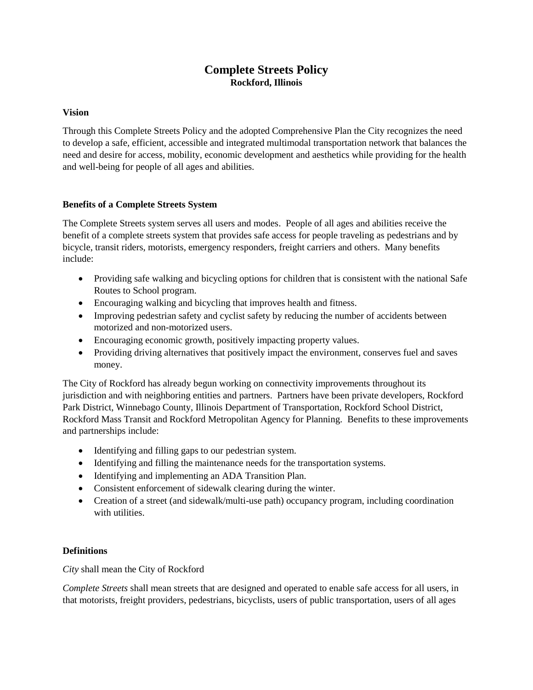# **Complete Streets Policy Rockford, Illinois**

## **Vision**

Through this Complete Streets Policy and the adopted Comprehensive Plan the City recognizes the need to develop a safe, efficient, accessible and integrated multimodal transportation network that balances the need and desire for access, mobility, economic development and aesthetics while providing for the health and well-being for people of all ages and abilities.

## **Benefits of a Complete Streets System**

The Complete Streets system serves all users and modes. People of all ages and abilities receive the benefit of a complete streets system that provides safe access for people traveling as pedestrians and by bicycle, transit riders, motorists, emergency responders, freight carriers and others. Many benefits include:

- Providing safe walking and bicycling options for children that is consistent with the national Safe Routes to School program.
- Encouraging walking and bicycling that improves health and fitness.
- Improving pedestrian safety and cyclist safety by reducing the number of accidents between motorized and non-motorized users.
- Encouraging economic growth, positively impacting property values.
- Providing driving alternatives that positively impact the environment, conserves fuel and saves money.

The City of Rockford has already begun working on connectivity improvements throughout its jurisdiction and with neighboring entities and partners. Partners have been private developers, Rockford Park District, Winnebago County, Illinois Department of Transportation, Rockford School District, Rockford Mass Transit and Rockford Metropolitan Agency for Planning. Benefits to these improvements and partnerships include:

- Identifying and filling gaps to our pedestrian system.
- Identifying and filling the maintenance needs for the transportation systems.
- Identifying and implementing an ADA Transition Plan.
- Consistent enforcement of sidewalk clearing during the winter.
- Creation of a street (and sidewalk/multi-use path) occupancy program, including coordination with utilities.

#### **Definitions**

*City* shall mean the City of Rockford

*Complete Streets* shall mean streets that are designed and operated to enable safe access for all users, in that motorists, freight providers, pedestrians, bicyclists, users of public transportation, users of all ages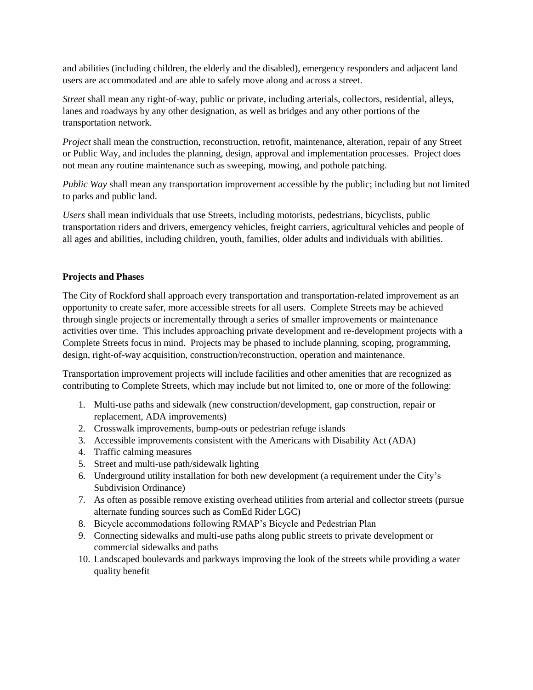and abilities (including children, the elderly and the disabled), emergency responders and adjacent land users are accommodated and are able to safely move along and across a street.

*Street* shall mean any right-of-way, public or private, including arterials, collectors, residential, alleys, lanes and roadways by any other designation, as well as bridges and any other portions of the transportation network.

*Project* shall mean the construction, reconstruction, retrofit, maintenance, alteration, repair of any Street or Public Way, and includes the planning, design, approval and implementation processes. Project does not mean any routine maintenance such as sweeping, mowing, and pothole patching.

*Public Way* shall mean any transportation improvement accessible by the public; including but not limited to parks and public land.

*Users* shall mean individuals that use Streets, including motorists, pedestrians, bicyclists, public transportation riders and drivers, emergency vehicles, freight carriers, agricultural vehicles and people of all ages and abilities, including children, youth, families, older adults and individuals with abilities.

# **Projects and Phases**

The City of Rockford shall approach every transportation and transportation-related improvement as an opportunity to create safer, more accessible streets for all users. Complete Streets may be achieved through single projects or incrementally through a series of smaller improvements or maintenance activities over time. This includes approaching private development and re-development projects with a Complete Streets focus in mind. Projects may be phased to include planning, scoping, programming, design, right-of-way acquisition, construction/reconstruction, operation and maintenance.

Transportation improvement projects will include facilities and other amenities that are recognized as contributing to Complete Streets, which may include but not limited to, one or more of the following:

- 1. Multi-use paths and sidewalk (new construction/development, gap construction, repair or replacement, ADA improvements)
- 2. Crosswalk improvements, bump-outs or pedestrian refuge islands
- 3. Accessible improvements consistent with the Americans with Disability Act (ADA)
- 4. Traffic calming measures
- 5. Street and multi-use path/sidewalk lighting
- 6. Underground utility installation for both new development (a requirement under the City's Subdivision Ordinance)
- 7. As often as possible remove existing overhead utilities from arterial and collector streets (pursue alternate funding sources such as ComEd Rider LGC)
- 8. Bicycle accommodations following RMAP's Bicycle and Pedestrian Plan
- 9. Connecting sidewalks and multi-use paths along public streets to private development or commercial sidewalks and paths
- 10. Landscaped boulevards and parkways improving the look of the streets while providing a water quality benefit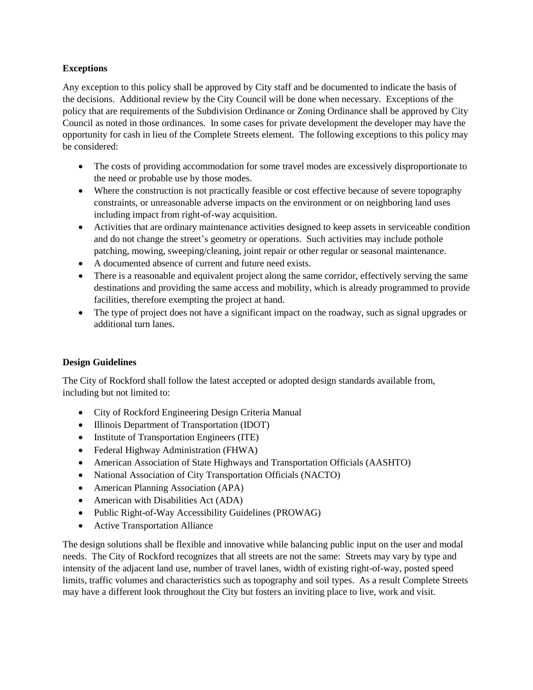# **Exceptions**

Any exception to this policy shall be approved by City staff and be documented to indicate the basis of the decisions. Additional review by the City Council will be done when necessary. Exceptions of the policy that are requirements of the Subdivision Ordinance or Zoning Ordinance shall be approved by City Council as noted in those ordinances. In some cases for private development the developer may have the opportunity for cash in lieu of the Complete Streets element. The following exceptions to this policy may be considered:

- The costs of providing accommodation for some travel modes are excessively disproportionate to the need or probable use by those modes.
- Where the construction is not practically feasible or cost effective because of severe topography constraints, or unreasonable adverse impacts on the environment or on neighboring land uses including impact from right-of-way acquisition.
- Activities that are ordinary maintenance activities designed to keep assets in serviceable condition and do not change the street's geometry or operations. Such activities may include pothole patching, mowing, sweeping/cleaning, joint repair or other regular or seasonal maintenance.
- A documented absence of current and future need exists.
- There is a reasonable and equivalent project along the same corridor, effectively serving the same destinations and providing the same access and mobility, which is already programmed to provide facilities, therefore exempting the project at hand.
- The type of project does not have a significant impact on the roadway, such as signal upgrades or additional turn lanes.

# **Design Guidelines**

The City of Rockford shall follow the latest accepted or adopted design standards available from, including but not limited to:

- City of Rockford Engineering Design Criteria Manual
- Illinois Department of Transportation (IDOT)
- Institute of Transportation Engineers (ITE)
- Federal Highway Administration (FHWA)
- American Association of State Highways and Transportation Officials (AASHTO)
- National Association of City Transportation Officials (NACTO)
- American Planning Association (APA)
- American with Disabilities Act (ADA)
- Public Right-of-Way Accessibility Guidelines (PROWAG)
- Active Transportation Alliance

The design solutions shall be flexible and innovative while balancing public input on the user and modal needs. The City of Rockford recognizes that all streets are not the same: Streets may vary by type and intensity of the adjacent land use, number of travel lanes, width of existing right-of-way, posted speed limits, traffic volumes and characteristics such as topography and soil types. As a result Complete Streets may have a different look throughout the City but fosters an inviting place to live, work and visit.